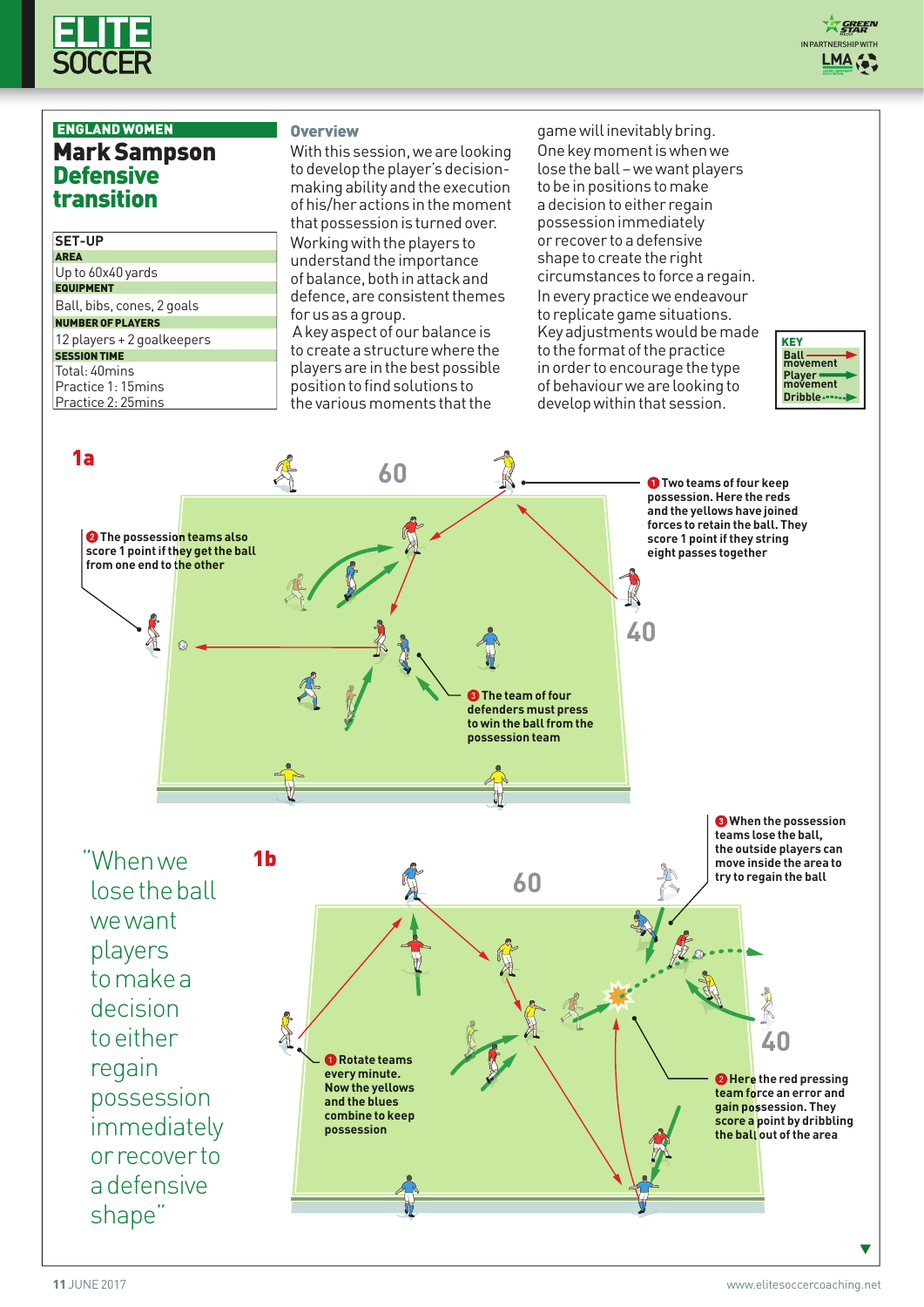

## ENGLANDWOMEN MarkSampson **Defensive** transition

#### **SET-UP**

AREA Up to 60x40 yards **EQUIPMENT** 

Ball, bibs, cones, 2 goals

## NUMBEROFPLAYERS

12 players + 2 goalkeepers **SESSION TIME** 

#### Total: 40mins

Practice 1: 15mins

Practice 2: 25mins

#### **Overview**

With this session, we are looking to develop the player's decisionmaking ability and the execution ofhis/heractions inthemoment that possession is turned over. Working with the players to understand the importance ofbalance,bothinattackand defence, are consistent themes for us as a group. A key aspect of our balance is

tocreatea structurewherethe players are in the best possible position to find solutions to the various moments that the

game will inevitably bring. Onekeymomentiswhenwe lose the ball – we want players to be in positions to make adecisiontoeither regain possessionimmediately or recover toa defensive shape to create the right circumstances toforcea regain. Ineverypracticewe endeavour to replicate game situations. Key adjustments would be made to the format of the practice in order to encourage the type of behaviour we are looking to develop within that session.



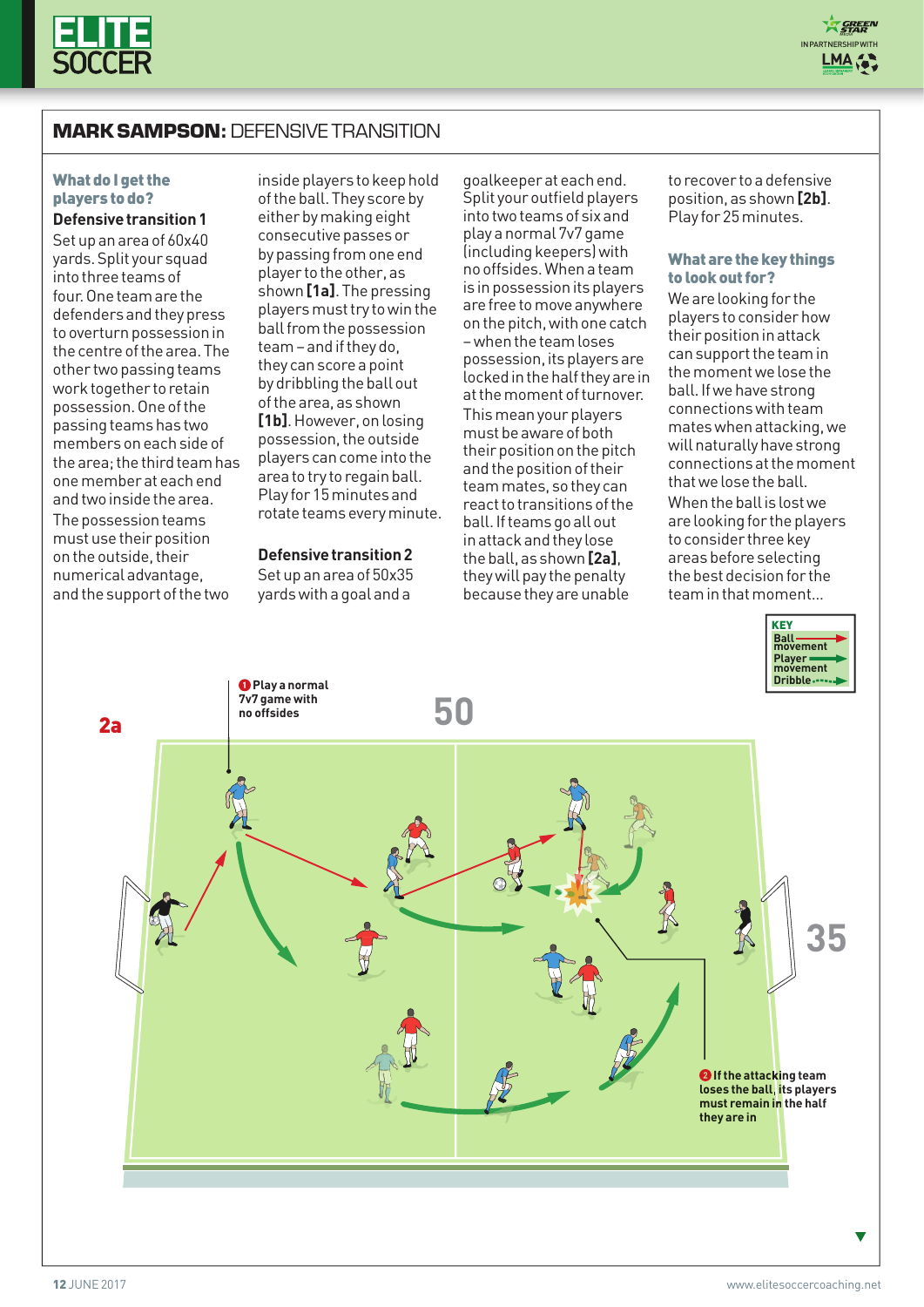

# **MARK SAMPSON:** DEFENSIVE TRANSITION

### What do I get the players to do?

**Defensive transition 1** Setupanareaof 60x40 yards.Split your squad into three teams of four. One team are the defenders and they press to overturn possession in thecentreofthearea.The other two passing teams work together to retain possession. One of the passing teams has two membersoneachsideof the area: the third team has onemember ateachend andtwoinsidethearea. The possession teams must use their position ontheoutside,their numericaladvantage, and the support of the two

insideplayers tokeephold of the ball. They score by either by making eight consecutive passes or by passing from one end player to the other, as shown**[1a]**.Thepressing players must try to win the ball from the possession team – and if they do, they canscorea point by dribbling the ball out ofthearea, as shown [1b]. However, on losing possession, the outside players cancomeintothe area to try to regain ball. Play for 15 minutes and rotate teams every minute.

#### **Defensivetransition2**

Setupanarea of 50x35 yardswitha goalanda

goalkeeperateachend. Split your outfield players intotwoteams of sixand playa normal 7v7game (including keepers) with nooffsides.Whena team is in possession its players arefree tomoveanywhere on the pitch, with one catch –whenthe teamloses possession, its players are locked in the half they are in at the moment of turnover. This mean your players must be aware of both their position on the pitch and the position of their teammates, sothey can  $react$  to transitions of the ball. If teams go all out inattackandthey lose theball,as shown**[2a]**, they will pay the penalty because they are unable

to recover to a defensive position, as shown**[2b]**. Play for 25 minutes.

#### What are the key things to look out for?

We are looking for the players toconsiderhow their position in attack can support the team in the moment we lose the ball.Ifwehavestrong connectionswithteam mates when attacking, we will naturally have strong connectionsatthemoment that we lose the ball. When the ball is lost we are looking for the players to consider three key areas before selecting the best decision for the teaminthatmoment…





v